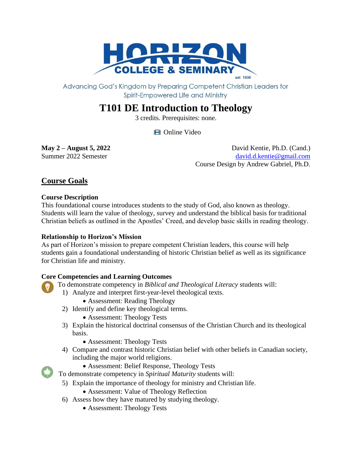

Advancing God's Kingdom by Preparing Competent Christian Leaders for Spirit-Empowered Life and Ministry

# **T101 DE Introduction to Theology**

3 credits. Prerequisites: none.

**田** Online Video

**May** 2 – **August 5, 2022** David Kentie, Ph.D. (Cand.) Summer 2022 Semester [david.d.kentie@gmail.com](mailto:david.d.kentie@gmail.com) Course Design by Andrew Gabriel, Ph.D.

# **Course Goals**

# **Course Description**

This foundational course introduces students to the study of God, also known as theology. Students will learn the value of theology, survey and understand the biblical basis for traditional Christian beliefs as outlined in the Apostles' Creed, and develop basic skills in reading theology.

# **Relationship to Horizon's Mission**

As part of Horizon's mission to prepare competent Christian leaders, this course will help students gain a foundational understanding of historic Christian belief as well as its significance for Christian life and ministry.

# **Core Competencies and Learning Outcomes**

To demonstrate competency in *Biblical and Theological Literacy* students will:

- 1) Analyze and interpret first-year-level theological texts.
	- Assessment: Reading Theology
- 2) Identify and define key theological terms.
	- Assessment: Theology Tests
- 3) Explain the historical doctrinal consensus of the Christian Church and its theological basis.
	- Assessment: Theology Tests
- 4) Compare and contrast historic Christian belief with other beliefs in Canadian society, including the major world religions.
	- Assessment: Belief Response, Theology Tests

To demonstrate competency in *Spiritual Maturity* students will:

- 5) Explain the importance of theology for ministry and Christian life.
	- Assessment: Value of Theology Reflection
- 6) Assess how they have matured by studying theology.
	- Assessment: Theology Tests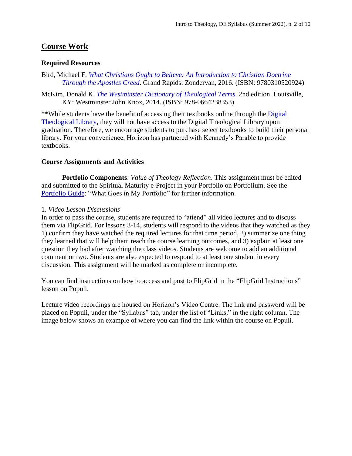# **Course Work**

#### **Required Resources**

Bird, Michael F. *[What Christians Ought to Believe: An Introduction to Christian Doctrine](https://books.google.ca/books?id=WLXxCgAAQBAJ&lpg=PP1&dq=What%20Christians%20Ought%20to%20Believe%3A%20An%20Introduction%20to%20Christian%20Doctrine&pg=PP1#v=onepage&q&f=false) [Through the Apostles Creed](https://books.google.ca/books?id=WLXxCgAAQBAJ&lpg=PP1&dq=What%20Christians%20Ought%20to%20Believe%3A%20An%20Introduction%20to%20Christian%20Doctrine&pg=PP1#v=onepage&q&f=false)*. Grand Rapids: Zondervan, 2016. (ISBN: 9780310520924)

McKim, Donald K. *[The Westminster Dictionary of Theological Terms](https://books.google.ca/books?id=BUaTAwAAQBAJ&lpg=PP1&dq=The%20Westminster%20Dictionary%20of%20Theological%20Terms&pg=PP1#v=onepage&q&f=false)*. 2nd edition. Louisville, KY: Westminster John Knox, 2014. (ISBN: 978-0664238353)

\*\*While students have the benefit of accessing their textbooks online through the [Digital](https://libguides.thedtl.org/home) [Theological Library,](https://libguides.thedtl.org/home) they will not have access to the Digital Theological Library upon graduation. Therefore, we encourage students to purchase select textbooks to build their personal library. For your convenience, Horizon has partnered with Kennedy's Parable to provide textbooks.

#### **Course Assignments and Activities**

**Portfolio Components**: *Value of Theology Reflection*. This assignment must be edited and submitted to the Spiritual Maturity e-Project in your Portfolio on Portfolium. See the [Portfolio Guide:](https://www.horizon.edu/wp-content/uploads/2019/09/Portfolio-Guide-September-2019.pdf) "What Goes in My Portfolio" for further information.

#### 1. *Video Lesson Discussions*

In order to pass the course, students are required to "attend" all video lectures and to discuss them via FlipGrid. For lessons 3-14, students will respond to the videos that they watched as they 1) confirm they have watched the required lectures for that time period, 2) summarize one thing they learned that will help them reach the course learning outcomes, and 3) explain at least one question they had after watching the class videos. Students are welcome to add an additional comment or two. Students are also expected to respond to at least one student in every discussion. This assignment will be marked as complete or incomplete.

You can find instructions on how to access and post to FlipGrid in the "FlipGrid Instructions" lesson on Populi.

Lecture video recordings are housed on Horizon's Video Centre. The link and password will be placed on Populi, under the "Syllabus" tab, under the list of "Links," in the right column. The image below shows an example of where you can find the link within the course on Populi.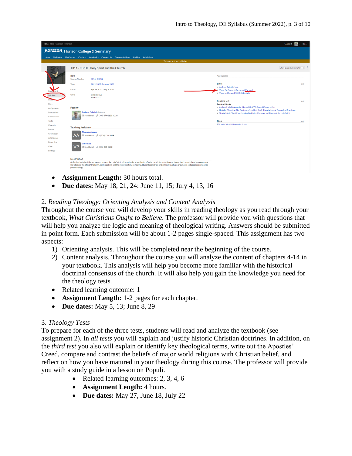| Home Files Calendar Financial                                                                |                                     |                                                                                                                                                                                                                                                                                                                                              | Q Search                                                                                   | $Help \sim$ |  |  |  |  |
|----------------------------------------------------------------------------------------------|-------------------------------------|----------------------------------------------------------------------------------------------------------------------------------------------------------------------------------------------------------------------------------------------------------------------------------------------------------------------------------------------|--------------------------------------------------------------------------------------------|-------------|--|--|--|--|
| <b>HORIZON</b> Horizon College & Seminary                                                    |                                     |                                                                                                                                                                                                                                                                                                                                              |                                                                                            |             |  |  |  |  |
| Home My Profile My Courses Contacts Academics Campus Life Communications Advising Admissions |                                     |                                                                                                                                                                                                                                                                                                                                              |                                                                                            |             |  |  |  |  |
| This course is not published                                                                 |                                     |                                                                                                                                                                                                                                                                                                                                              |                                                                                            |             |  |  |  |  |
|                                                                                              |                                     |                                                                                                                                                                                                                                                                                                                                              |                                                                                            |             |  |  |  |  |
|                                                                                              |                                     | T311 - CB/DE: Holy Spirit and the Church                                                                                                                                                                                                                                                                                                     | 2021-2022: Summer 2021 0                                                                   |             |  |  |  |  |
|                                                                                              | Info                                |                                                                                                                                                                                                                                                                                                                                              | Add supplies                                                                               |             |  |  |  |  |
|                                                                                              | Course Number                       | <b>T311 - CB/DE</b>                                                                                                                                                                                                                                                                                                                          |                                                                                            |             |  |  |  |  |
|                                                                                              | Term                                | 2021-2022: Summer 2021                                                                                                                                                                                                                                                                                                                       | Links                                                                                      | add         |  |  |  |  |
|                                                                                              | Dates                               | Apr 26, 2021 - Aug 6, 2021                                                                                                                                                                                                                                                                                                                   | o Andrew Gabriel's blog<br>Video On Demand (Password: Pneuma)                              |             |  |  |  |  |
|                                                                                              | Units                               | Credits: 3.00                                                                                                                                                                                                                                                                                                                                | o Video on Demand (VOD) Orientation                                                        |             |  |  |  |  |
| Syllabus                                                                                     |                                     | <b>Hours: 3.00</b>                                                                                                                                                                                                                                                                                                                           |                                                                                            |             |  |  |  |  |
|                                                                                              |                                     |                                                                                                                                                                                                                                                                                                                                              | <b>Reading List</b>                                                                        | add         |  |  |  |  |
| Files<br><b>Assignments</b>                                                                  | <b>Faculty</b>                      |                                                                                                                                                                                                                                                                                                                                              | <b>Required Books</b><br>o Authentically Pentecostal: Here's What We See-A Conversation    |             |  |  |  |  |
| <b>Discussions</b>                                                                           |                                     | <b>Andrew Gabriel - Primary</b>                                                                                                                                                                                                                                                                                                              | o He Who Gives Life: The Doctrine of the Holy Spirit (Foundations of Evangelical Theology) |             |  |  |  |  |
| Conferences                                                                                  |                                     | ⊠ Send Email 2 (306) 374-6655 x 228                                                                                                                                                                                                                                                                                                          | o Simply Spirit-Filled: Experiencing God in the Presence and Power of the Holy Spirit      |             |  |  |  |  |
| Tests                                                                                        |                                     |                                                                                                                                                                                                                                                                                                                                              | <b>Files</b>                                                                               | add         |  |  |  |  |
| Calendar                                                                                     |                                     |                                                                                                                                                                                                                                                                                                                                              | □ 1. Holy Spirit Bibliography (from L                                                      |             |  |  |  |  |
| Roster                                                                                       | <b>Teaching Assistants</b>          |                                                                                                                                                                                                                                                                                                                                              |                                                                                            |             |  |  |  |  |
| Gradebook                                                                                    | AА                                  | <b>Alyssa Andrews</b><br>⊠ Send Email 2 1 (306) 270-5689                                                                                                                                                                                                                                                                                     |                                                                                            |             |  |  |  |  |
| Attendance                                                                                   |                                     |                                                                                                                                                                                                                                                                                                                                              |                                                                                            |             |  |  |  |  |
| Reporting                                                                                    | <b>Vi Petkau</b>                    |                                                                                                                                                                                                                                                                                                                                              |                                                                                            |             |  |  |  |  |
| Chat                                                                                         | VP                                  | ⊠ Send Email 2 (306) 381-9702                                                                                                                                                                                                                                                                                                                |                                                                                            |             |  |  |  |  |
| <b>Settings</b>                                                                              |                                     |                                                                                                                                                                                                                                                                                                                                              |                                                                                            |             |  |  |  |  |
|                                                                                              | <b>Description</b><br>pneumatology. | An in-depth study of the person and work of the Holy Spirit, with particular attention to a Pentecostal interpretation and its emphasis on missional empowerment.<br>Included are the gifts of the Spirit, Spirit baptism, and the doctrine of divine healing. Students construct and critically evaluate arguments and practices related to |                                                                                            |             |  |  |  |  |

- **Assignment Length:** 30 hours total.
- **Due dates:** May 18, 21, 24: June 11, 15; July 4, 13, 16

# 2. *Reading Theology: Orienting Analysis and Content Analysis*

Throughout the course you will develop your skills in reading theology as you read through your textbook, *What Christians Ought to Believe*. The professor will provide you with questions that will help you analyze the logic and meaning of theological writing. Answers should be submitted in point form. Each submission will be about 1-2 pages single-spaced. This assignment has two aspects:

- 1) Orienting analysis. This will be completed near the beginning of the course.
- 2) Content analysis. Throughout the course you will analyze the content of chapters 4-14 in your textbook. This analysis will help you become more familiar with the historical doctrinal consensus of the church. It will also help you gain the knowledge you need for the theology tests.
- Related learning outcome: 1
- **Assignment Length:** 1-2 pages for each chapter.
- **Due dates:** May 5, 13; June 8, 29

#### 3. *Theology Tests*

To prepare for each of the three tests, students will read and analyze the textbook (see assignment 2). In *all tests* you will explain and justify historic Christian doctrines. In addition, on the *third test* you also will explain or identify key theological terms, write out the Apostles' Creed, compare and contrast the beliefs of major world religions with Christian belief, and reflect on how you have matured in your theology during this course. The professor will provide you with a study guide in a lesson on Populi.

- Related learning outcomes: 2, 3, 4, 6
- **Assignment Length:** 4 hours.
- **Due dates:** May 27, June 18, July 22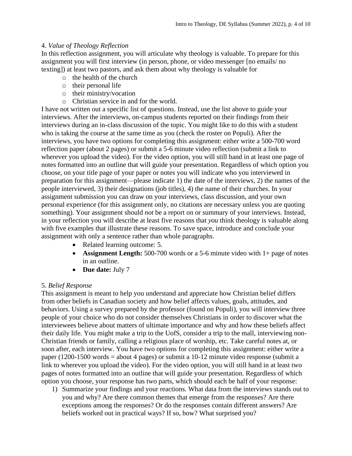## 4. *Value of Theology Reflection*

In this reflection assignment, you will articulate why theology is valuable. To prepare for this assignment you will first interview (in person, phone, or video messenger [no emails/ no texting]) at least two pastors, and ask them about why theology is valuable for

- o the health of the church
- o their personal life
- o their ministry/vocation
- o Christian service in and for the world.

I have not written out a specific list of questions. Instead, use the list above to guide your interviews. After the interviews, on-campus students reported on their findings from their interviews during an in-class discussion of the topic. You might like to do this with a student who is taking the course at the same time as you (check the roster on Populi). After the interviews, you have two options for completing this assignment: either write a 500-700 word reflection paper (about 2 pages) or submit a 5-6 minute video reflection (submit a link to wherever you upload the video). For the video option, you will still hand in at least one page of notes formatted into an outline that will guide your presentation. Regardless of which option you choose, on your title page of your paper or notes you will indicate who you interviewed in preparation for this assignment—please indicate 1) the date of the interviews, 2) the names of the people interviewed, 3) their designations (job titles), 4) the name of their churches. In your assignment submission you can draw on your interviews, class discussion, and your own personal experience (for this assignment only, no citations are necessary unless you are quoting something). Your assignment should *not* be a report on or summary of your interviews. Instead, in your reflection you will describe at least five reasons that *you* think theology is valuable along with five examples that illustrate these reasons. To save space, introduce and conclude your assignment with only a sentence rather than whole paragraphs.

- Related learning outcome: 5.
- **Assignment Length:** 500-700 words or a 5-6 minute video with 1+ page of notes in an outline.
- **Due date:** July 7

# 5. *Belief Response*

This assignment is meant to help you understand and appreciate how Christian belief differs from other beliefs in Canadian society and how belief affects values, goals, attitudes, and behaviors. Using a survey prepared by the professor (found on Populi), you will interview three people of your choice who do not consider themselves Christians in order to discover what the interviewees believe about matters of ultimate importance and why and how these beliefs affect their daily life. You might make a trip to the UofS, consider a trip to the mall, interviewing non-Christian friends or family, calling a religious place of worship, etc. Take careful notes at, or soon after, each interview. You have two options for completing this assignment: either write a paper (1200-1500 words = about 4 pages) or submit a 10-12 minute video response (submit a link to wherever you upload the video). For the video option, you will still hand in at least two pages of notes formatted into an outline that will guide your presentation. Regardless of which option you choose, your response has two parts, which should each be half of your response:

1) Summarize your findings and your reactions. What data from the interviews stands out to you and why? Are there common themes that emerge from the responses? Are there exceptions among the responses? Or do the responses contain different answers? Are beliefs worked out in practical ways? If so, how? What surprised you?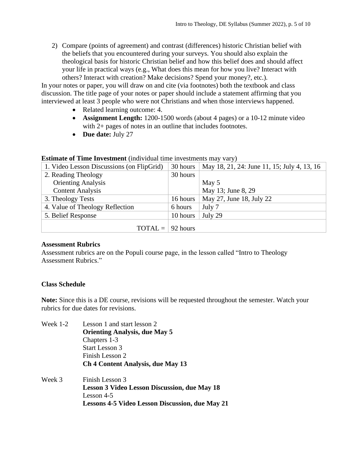2) Compare (points of agreement) and contrast (differences) historic Christian belief with the beliefs that you encountered during your surveys. You should also explain the theological basis for historic Christian belief and how this belief does and should affect your life in practical ways (e.g., What does this mean for how you live? Interact with others? Interact with creation? Make decisions? Spend your money?, etc.).

In your notes or paper, you will draw on and cite (via footnotes) both the textbook and class discussion. The title page of your notes or paper should include a statement affirming that you interviewed at least 3 people who were not Christians and when those interviews happened.

- Related learning outcome: 4.
- **Assignment Length:** 1200-1500 words (about 4 pages) or a 10-12 minute video with 2+ pages of notes in an outline that includes footnotes.
- **Due date:** July 27

| EDWARD OF FRILL BUT COMMUNICATION TRANSPORTED THE COMMUNICATION THAT THE P |          |                                             |  |  |  |  |
|----------------------------------------------------------------------------|----------|---------------------------------------------|--|--|--|--|
| 1. Video Lesson Discussions (on FlipGrid)                                  | 30 hours | May 18, 21, 24: June 11, 15; July 4, 13, 16 |  |  |  |  |
| 2. Reading Theology                                                        | 30 hours |                                             |  |  |  |  |
| <b>Orienting Analysis</b>                                                  |          | May 5                                       |  |  |  |  |
| <b>Content Analysis</b>                                                    |          | May 13; June 8, 29                          |  |  |  |  |
| 3. Theology Tests                                                          | 16 hours | May 27, June 18, July 22                    |  |  |  |  |
| 4. Value of Theology Reflection                                            | 6 hours  | July 7                                      |  |  |  |  |
| 5. Belief Response                                                         | 10 hours | July 29                                     |  |  |  |  |
|                                                                            |          |                                             |  |  |  |  |
| $TOTAL =   92 hours$                                                       |          |                                             |  |  |  |  |

#### **Estimate of Time Investment** (individual time investments may vary)

#### **Assessment Rubrics**

Assessment rubrics are on the Populi course page, in the lesson called "Intro to Theology Assessment Rubrics."

# **Class Schedule**

**Note:** Since this is a DE course, revisions will be requested throughout the semester. Watch your rubrics for due dates for revisions.

- Week 1-2 Lesson 1 and start lesson 2 **Orienting Analysis, due May 5** Chapters 1-3 Start Lesson 3 Finish Lesson 2 **Ch 4 Content Analysis, due May 13** Week 3 Finish Lesson 3
- **Lesson 3 Video Lesson Discussion, due May 18** Lesson 4-5 **Lessons 4-5 Video Lesson Discussion, due May 21**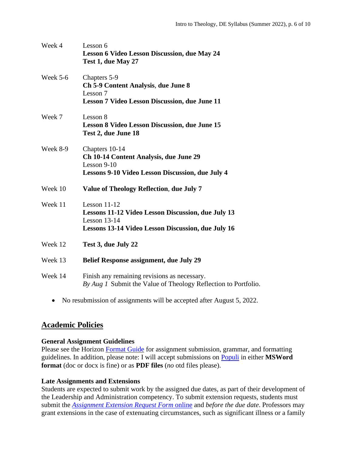| Week 4   | Lesson 6<br><b>Lesson 6 Video Lesson Discussion, due May 24</b><br>Test 1, due May 27                                                               |
|----------|-----------------------------------------------------------------------------------------------------------------------------------------------------|
| Week 5-6 | Chapters 5-9<br><b>Ch 5-9 Content Analysis, due June 8</b><br>Lesson 7<br><b>Lesson 7 Video Lesson Discussion, due June 11</b>                      |
| Week 7   | Lesson 8<br><b>Lesson 8 Video Lesson Discussion, due June 15</b><br>Test 2, due June 18                                                             |
| Week 8-9 | Chapters 10-14<br>Ch 10-14 Content Analysis, due June 29<br>Lesson $9-10$<br>Lessons 9-10 Video Lesson Discussion, due July 4                       |
| Week 10  | Value of Theology Reflection, due July 7                                                                                                            |
| Week 11  | Lesson $11-12$<br>Lessons 11-12 Video Lesson Discussion, due July 13<br>Lesson $13-14$<br><b>Lessons 13-14 Video Lesson Discussion, due July 16</b> |
| Week 12  | Test 3, due July 22                                                                                                                                 |
| Week 13  | <b>Belief Response assignment, due July 29</b>                                                                                                      |
| Week 14  | Finish any remaining revisions as necessary.<br>By Aug 1 Submit the Value of Theology Reflection to Portfolio.                                      |

• No resubmission of assignments will be accepted after August 5, 2022.

# **Academic Policies**

# **General Assignment Guidelines**

Please see the Horizon [Format Guide](https://www.horizon.edu/students/resources/) for assignment submission, grammar, and formatting guidelines. In addition, please note: I will accept submissions on [Populi](https://horizon.populiweb.com/) in either **MSWord format** (doc or docx is fine) or as **PDF files** (*no* otd files please).

# **Late Assignments and Extensions**

Students are expected to submit work by the assigned due dates, as part of their development of the Leadership and Administration competency. To submit extension requests, students must submit the *[Assignment Extension Request Form](https://horizon.edu/forms/student/)* online and *before the due date*. Professors may grant extensions in the case of extenuating circumstances, such as significant illness or a family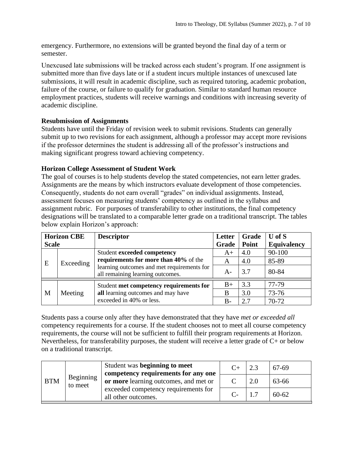emergency. Furthermore, no extensions will be granted beyond the final day of a term or semester.

Unexcused late submissions will be tracked across each student's program. If one assignment is submitted more than five days late or if a student incurs multiple instances of unexcused late submissions, it will result in academic discipline, such as required tutoring, academic probation, failure of the course, or failure to qualify for graduation. Similar to standard human resource employment practices, students will receive warnings and conditions with increasing severity of academic discipline.

## **Resubmission of Assignments**

Students have until the Friday of revision week to submit revisions. Students can generally submit up to two revisions for each assignment, although a professor may accept more revisions if the professor determines the student is addressing all of the professor's instructions and making significant progress toward achieving competency.

## **Horizon College Assessment of Student Work**

The goal of courses is to help students develop the stated competencies, not earn letter grades. Assignments are the means by which instructors evaluate development of those competencies. Consequently, students do not earn overall "grades" on individual assignments. Instead, assessment focuses on measuring students' competency as outlined in the syllabus and assignment rubric. For purposes of transferability to other institutions, the final competency designations will be translated to a comparable letter grade on a traditional transcript. The tables below explain Horizon's approach:

| <b>Horizon CBE</b> |           | <b>Descriptor</b>                                                                                                                                             | Letter | Grade | $U$ of $S$         |
|--------------------|-----------|---------------------------------------------------------------------------------------------------------------------------------------------------------------|--------|-------|--------------------|
| <b>Scale</b>       |           |                                                                                                                                                               | Grade  | Point | <b>Equivalency</b> |
| E                  | Exceeding | <b>Student exceeded competency</b><br>requirements for more than 40% of the<br>learning outcomes and met requirements for<br>all remaining learning outcomes. | $A+$   | 4.0   | 90-100             |
|                    |           |                                                                                                                                                               | A      | 4.0   | 85-89              |
|                    |           |                                                                                                                                                               | $A-$   | 3.7   | 80-84              |
| M                  | Meeting   | Student met competency requirements for<br>all learning outcomes and may have<br>exceeded in 40% or less.                                                     | $B+$   | 3.3   | 77-79              |
|                    |           |                                                                                                                                                               | B      | 3.0   | 73-76              |
|                    |           |                                                                                                                                                               | $B -$  | 2.7   | 70-72              |

Students pass a course only after they have demonstrated that they have *met or exceeded all*  competency requirements for a course. If the student chooses not to meet all course competency requirements, the course will not be sufficient to fulfill their program requirements at Horizon. Nevertheless, for transferability purposes, the student will receive a letter grade of C+ or below on a traditional transcript.

| <b>BTM</b> | Beginning<br>to meet | Student was beginning to meet<br>competency requirements for any one |     | 67-69     |
|------------|----------------------|----------------------------------------------------------------------|-----|-----------|
|            |                      | or more learning outcomes, and met or                                | 2.0 | 63-66     |
|            |                      | exceeded competency requirements for<br>all other outcomes.          |     | $60 - 62$ |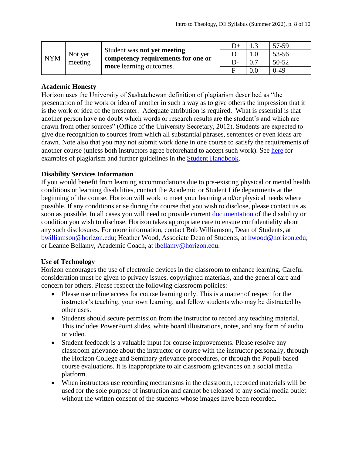| <b>NYM</b> | Not yet<br>meeting | Student was <b>not</b> yet meeting<br>competency requirements for one or<br>more learning outcomes. | $D+$ |     | 57-59     |
|------------|--------------------|-----------------------------------------------------------------------------------------------------|------|-----|-----------|
|            |                    |                                                                                                     |      |     | 53-56     |
|            |                    |                                                                                                     |      |     | $50 - 52$ |
|            |                    |                                                                                                     |      | 0.0 | $0-49$    |

## **Academic Honesty**

Horizon uses the University of Saskatchewan definition of plagiarism described as "the presentation of the work or idea of another in such a way as to give others the impression that it is the work or idea of the presenter. Adequate attribution is required. What is essential is that another person have no doubt which words or research results are the student's and which are drawn from other sources" (Office of the University Secretary, 2012). Students are expected to give due recognition to sources from which all substantial phrases, sentences or even ideas are drawn. Note also that you may not submit work done in one course to satisfy the requirements of another course (unless both instructors agree beforehand to accept such work). See [here](http://www.turnitin.com/assets/en_us/media/plagiarism_spectrum.php) for examples of plagiarism and further guidelines in the [Student Handbook.](https://www.horizon.edu/students/resources/)

# **Disability Services Information**

If you would benefit from learning accommodations due to pre-existing physical or mental health conditions or learning disabilities, contact the Academic or Student Life departments at the beginning of the course. Horizon will work to meet your learning and/or physical needs where possible. If any conditions arise during the course that you wish to disclose, please contact us as soon as possible. In all cases you will need to provide current [documentation](https://www.horizon.edu/students/support/) of the disability or condition you wish to disclose. Horizon takes appropriate care to ensure confidentiality about any such disclosures. For more information, contact Bob Williamson, Dean of Students, at [bwilliamson@horizon.edu;](mailto:bwilliamson@horizon.edu) Heather Wood, Associate Dean of Students, at [hwood@horizon.edu;](mailto:hwood@horizon.edu) or Leanne Bellamy, Academic Coach, at [lbellamy@horizon.edu.](mailto:lbellamy@horizon.edu)

#### **Use of Technology**

Horizon encourages the use of electronic devices in the classroom to enhance learning. Careful consideration must be given to privacy issues, copyrighted materials, and the general care and concern for others. Please respect the following classroom policies:

- Please use online access for course learning only. This is a matter of respect for the instructor's teaching, your own learning, and fellow students who may be distracted by other uses.
- Students should secure permission from the instructor to record any teaching material. This includes PowerPoint slides, white board illustrations, notes, and any form of audio or video.
- Student feedback is a valuable input for course improvements. Please resolve any classroom grievance about the instructor or course with the instructor personally, through the Horizon College and Seminary grievance procedures, or through the Populi-based course evaluations. It is inappropriate to air classroom grievances on a social media platform.
- When instructors use recording mechanisms in the classroom, recorded materials will be used for the sole purpose of instruction and cannot be released to any social media outlet without the written consent of the students whose images have been recorded.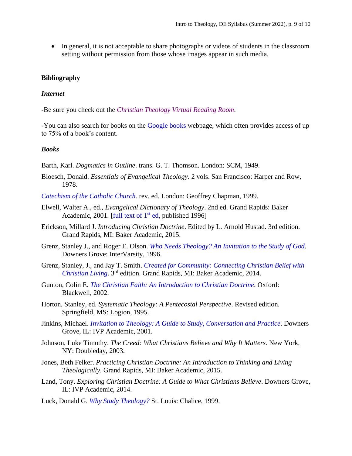• In general, it is not acceptable to share photographs or videos of students in the classroom setting without permission from those whose images appear in such media.

## **Bibliography**

#### *Internet*

-Be sure you check out the *[Christian Theology Virtual Reading Room](http://www.tyndale.ca/seminary/mtsmodular/reading-rooms/theology)*.

-You can also search for books on the [Google books](http://books.google.com/) webpage, which often provides access of up to 75% of a book's content.

#### *Books*

Barth, Karl. *Dogmatics in Outline*. trans. G. T. Thomson. London: SCM, 1949.

Bloesch, Donald. *Essentials of Evangelical Theology*. 2 vols. San Francisco: Harper and Row, 1978.

*[Catechism of the Catholic Church.](http://books.google.com/books?id=mMCqozDY72MC&printsec=frontcover&dq=Catechism+of+the+Catholic+Church)* rev. ed. London: Geoffrey Chapman, 1999.

- Elwell, Walter A., ed., *Evangelical Dictionary of Theology*. 2nd ed. Grand Rapids: Baker Academic, 2001. [full text of  $1<sup>st</sup>$  ed, published 1996]
- Erickson, Millard J. *Introducing Christian Doctrine*. Edited by L. Arnold Hustad. 3rd edition. Grand Rapids, MI: Baker Academic, 2015.
- Grenz, Stanley J., and Roger E. Olson. *[Who Needs Theology? An Invitation to the Study of God](http://books.google.com/books?id=R0uUsEsFwssC&printsec=frontcover&dq=Who+Needs+Theology%3F+An+Invitation+to+the+Study+of+God)*. Downers Grove: InterVarsity, 1996.
- Grenz, Stanley, J., and Jay T. Smith. *[Created for Community: Connecting Christian Belief with](https://books.google.ca/books?id=tiQtBAAAQBAJ&lpg=PP1&dq=Created%20for%20Community%3A%20Connecting%20Christian%20Belief&pg=PP1#v=onepage&q&f=false)  [Christian Living](https://books.google.ca/books?id=tiQtBAAAQBAJ&lpg=PP1&dq=Created%20for%20Community%3A%20Connecting%20Christian%20Belief&pg=PP1#v=onepage&q&f=false)*. 3 rd edition. Grand Rapids, MI: Baker Academic, 2014.
- Gunton, Colin E. *[The Christian Faith: An Introduction to Christian Doctrine](http://books.google.com/books?id=yqr1eO7g6zEC&printsec=frontcover&dq=The+Christian+Faith:+An+Introduction+to+Christian+Doctrine)*. Oxford: Blackwell, 2002.
- Horton, Stanley, ed. *Systematic Theology: A Pentecostal Perspective*. Revised edition. Springfield, MS: Logion, 1995.
- Jinkins, Michael. *[Invitation to Theology: A Guide to Study, Conversation and Practice](https://books.google.ca/books?id=4E0jCgAAQBAJ&lpg=PA19&dq=Invitation%20to%20Theology%3A%20A%20Guide%20to%20Study%2C%20Conversation&pg=PP1#v=onepage&q&f=false)*. Downers Grove, IL: IVP Academic, 2001.
- Johnson, Luke Timothy. *The Creed: What Christians Believe and Why It Matters*. New York, NY: Doubleday, 2003.
- Jones, Beth Felker. *Practicing Christian Doctrine: An Introduction to Thinking and Living Theologically*. Grand Rapids, MI: Baker Academic, 2015.
- Land, Tony. *Exploring Christian Doctrine: A Guide to What Christians Believe*. Downers Grove, IL: IVP Academic, 2014.
- Luck, Donald G. *[Why Study Theology?](http://books.google.com/books?id=LKzu7S9ew_4C&printsec=frontcover&dq=Why+Study+Theology%3F)* St. Louis: Chalice, 1999.